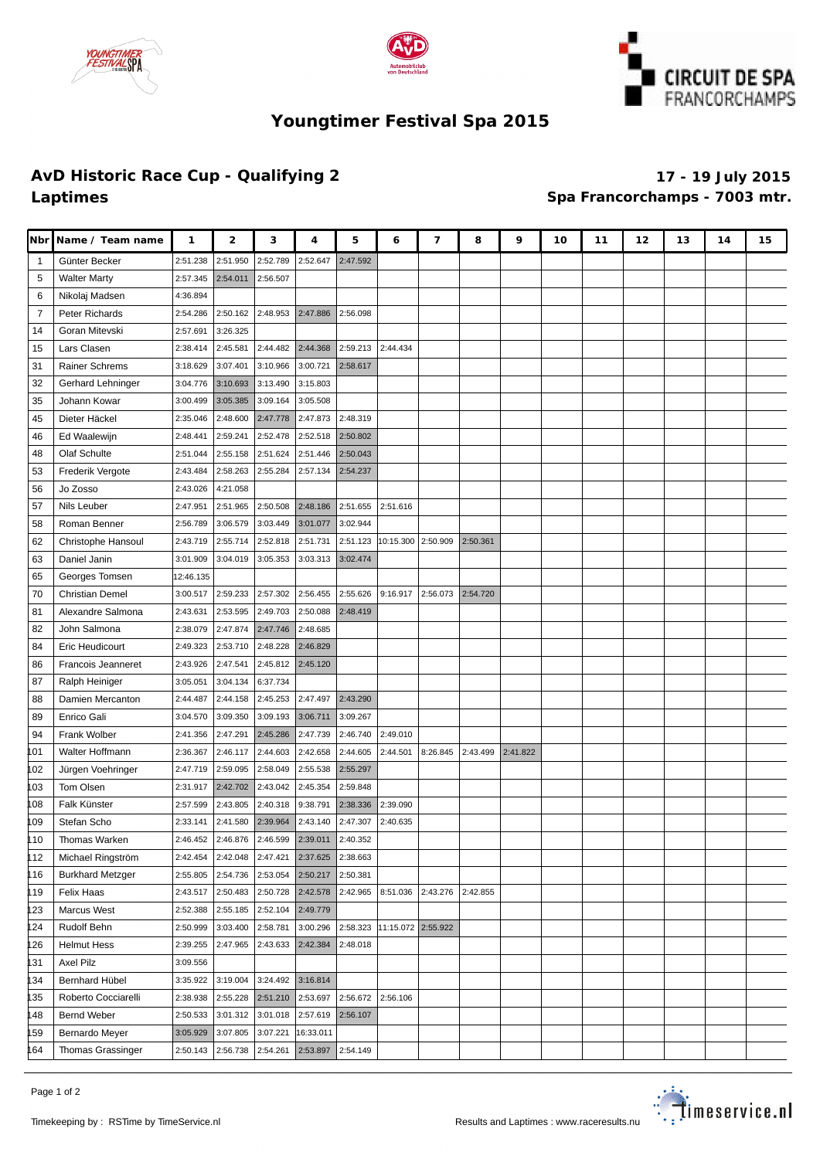





## **Youngtimer Festival Spa 2015**

## **AvD Historic Race Cup - Qualifying 2 17 - 19 July 2015 Laptimes Spa Francorchamps - 7003 mtr.**

| <b>Nbr</b>     | Name / Team name        | 1         | 2        | з                   | 4         | 5        | 6                           | 7        | 8        | 9        | 10 | 11 | 12 | 13 | 14 | 15 |
|----------------|-------------------------|-----------|----------|---------------------|-----------|----------|-----------------------------|----------|----------|----------|----|----|----|----|----|----|
| -1             | Günter Becker           | 2:51.238  | 2:51.950 | 2:52.789            | 2:52.647  | 2:47.592 |                             |          |          |          |    |    |    |    |    |    |
| 5              | <b>Walter Marty</b>     | 2:57.345  | 2:54.011 | 2:56.507            |           |          |                             |          |          |          |    |    |    |    |    |    |
| 6              | Nikolaj Madsen          | 4:36.894  |          |                     |           |          |                             |          |          |          |    |    |    |    |    |    |
| $\overline{7}$ | Peter Richards          | 2:54.286  | 2:50.162 | 2:48.953            | 2:47.886  | 2:56.098 |                             |          |          |          |    |    |    |    |    |    |
| 14             | Goran Mitevski          | 2:57.691  | 3:26.325 |                     |           |          |                             |          |          |          |    |    |    |    |    |    |
| 15             | Lars Clasen             | 2:38.414  | 2:45.581 | 2:44.482            | 2:44.368  | 2:59.213 | 2:44.434                    |          |          |          |    |    |    |    |    |    |
| 31             | Rainer Schrems          | 3:18.629  | 3:07.401 | 3:10.966            | 3:00.721  | 2:58.617 |                             |          |          |          |    |    |    |    |    |    |
| 32             | Gerhard Lehninger       | 3:04.776  | 3:10.693 | 3:13.490            | 3:15.803  |          |                             |          |          |          |    |    |    |    |    |    |
| 35             | Johann Kowar            | 3:00.499  | 3:05.385 | 3:09.164            | 3:05.508  |          |                             |          |          |          |    |    |    |    |    |    |
| 45             | Dieter Häckel           | 2:35.046  | 2:48.600 | 2:47.778            | 2:47.873  | 2:48.319 |                             |          |          |          |    |    |    |    |    |    |
| 46             | Ed Waalewijn            | 2:48.441  | 2:59.241 | 2:52.478            | 2:52.518  | 2:50.802 |                             |          |          |          |    |    |    |    |    |    |
| 48             | Olaf Schulte            | 2:51.044  | 2:55.158 | 2:51.624            | 2:51.446  | 2:50.043 |                             |          |          |          |    |    |    |    |    |    |
| 53             | Frederik Vergote        | 2:43.484  | 2:58.263 | 2:55.284            | 2:57.134  | 2:54.237 |                             |          |          |          |    |    |    |    |    |    |
| 56             | Jo Zosso                | 2:43.026  | 4:21.058 |                     |           |          |                             |          |          |          |    |    |    |    |    |    |
| 57             | Nils Leuber             | 2:47.951  | 2:51.965 | 2:50.508            | 2:48.186  | 2:51.655 | 2:51.616                    |          |          |          |    |    |    |    |    |    |
| 58             | Roman Benner            | 2:56.789  | 3:06.579 | 3:03.449            | 3:01.077  | 3:02.944 |                             |          |          |          |    |    |    |    |    |    |
| 62             | Christophe Hansoul      | 2:43.719  | 2:55.714 | 2:52.818            | 2:51.731  | 2:51.123 | 10:15.300 2:50.909          |          | 2:50.361 |          |    |    |    |    |    |    |
| 63             | Daniel Janin            | 3:01.909  | 3:04.019 | 3:05.353            | 3:03.313  | 3:02.474 |                             |          |          |          |    |    |    |    |    |    |
| 65             | Georges Tomsen          | 12:46.135 |          |                     |           |          |                             |          |          |          |    |    |    |    |    |    |
| 70             | <b>Christian Demel</b>  | 3:00.517  | 2:59.233 | 2:57.302            | 2:56.455  | 2:55.626 | 9:16.917                    | 2:56.073 | 2:54.720 |          |    |    |    |    |    |    |
| 81             | Alexandre Salmona       | 2:43.631  | 2:53.595 | 2:49.703            | 2:50.088  | 2:48.419 |                             |          |          |          |    |    |    |    |    |    |
| 82             | John Salmona            | 2:38.079  | 2:47.874 | 2:47.746            | 2:48.685  |          |                             |          |          |          |    |    |    |    |    |    |
| 84             | Eric Heudicourt         | 2:49.323  | 2:53.710 | 2:48.228            | 2:46.829  |          |                             |          |          |          |    |    |    |    |    |    |
| 86             | Francois Jeanneret      | 2:43.926  | 2:47.541 | 2:45.812            | 2:45.120  |          |                             |          |          |          |    |    |    |    |    |    |
| 87             | Ralph Heiniger          | 3:05.051  | 3:04.134 | 6:37.734            |           |          |                             |          |          |          |    |    |    |    |    |    |
| 88             | Damien Mercanton        | 2:44.487  | 2:44.158 | 2:45.253            | 2:47.497  | 2:43.290 |                             |          |          |          |    |    |    |    |    |    |
| 89             | Enrico Gali             | 3:04.570  | 3:09.350 | 3:09.193            | 3:06.711  | 3:09.267 |                             |          |          |          |    |    |    |    |    |    |
| 94             | <b>Frank Wolber</b>     | 2:41.356  | 2:47.291 | 2:45.286            | 2:47.739  | 2:46.740 | 2:49.010                    |          |          |          |    |    |    |    |    |    |
| 101            | Walter Hoffmann         | 2:36.367  | 2:46.117 | 2:44.603            | 2:42.658  | 2:44.605 | 2:44.501                    | 8:26.845 | 2:43.499 | 2:41.822 |    |    |    |    |    |    |
| 102            | Jürgen Voehringer       | 2:47.719  | 2:59.095 | 2:58.049            | 2:55.538  | 2:55.297 |                             |          |          |          |    |    |    |    |    |    |
| 103            | Tom Olsen               | 2:31.917  | 2:42.702 | 2:43.042            | 2:45.354  | 2:59.848 |                             |          |          |          |    |    |    |    |    |    |
| 108            | Falk Künster            | 2:57.599  | 2:43.805 | 2:40.318            | 9:38.791  | 2:38.336 | 2:39.090                    |          |          |          |    |    |    |    |    |    |
| 109            | Stefan Scho             | 2:33.141  | 2:41.580 | 2:39.964            | 2:43.140  | 2:47.307 | 2:40.635                    |          |          |          |    |    |    |    |    |    |
| 110            | Thomas Warken           | 2:46.452  | 2:46.876 | 2:46.599            | 2:39.011  | 2:40.352 |                             |          |          |          |    |    |    |    |    |    |
| 112            | Michael Ringström       | 2:42.454  | 2:42.048 | 2:47.421            | 2:37.625  | 2:38.663 |                             |          |          |          |    |    |    |    |    |    |
| 116            | <b>Burkhard Metzger</b> | 2:55.805  | 2:54.736 | 2:53.054            | 2:50.217  | 2:50.381 |                             |          |          |          |    |    |    |    |    |    |
| 119            | Felix Haas              | 2:43.517  | 2:50.483 | 2:50.728            | 2:42.578  | 2:42.965 | 8:51.036                    | 2:43.276 | 2:42.855 |          |    |    |    |    |    |    |
| 123            | Marcus West             | 2:52.388  | 2:55.185 | 2:52.104            | 2:49.779  |          |                             |          |          |          |    |    |    |    |    |    |
| 124            | Rudolf Behn             | 2:50.999  | 3:03.400 | 2:58.781            | 3:00.296  |          | 2:58.323 11:15.072 2:55.922 |          |          |          |    |    |    |    |    |    |
| 126            | <b>Helmut Hess</b>      | 2:39.255  | 2:47.965 | 2:43.633            | 2:42.384  | 2:48.018 |                             |          |          |          |    |    |    |    |    |    |
| 131            | Axel Pilz               | 3:09.556  |          |                     |           |          |                             |          |          |          |    |    |    |    |    |    |
| 134            | Bernhard Hübel          | 3:35.922  | 3:19.004 | 3:24.492            | 3:16.814  |          |                             |          |          |          |    |    |    |    |    |    |
| 135            | Roberto Cocciarelli     | 2:38.938  | 2:55.228 | 2:51.210            | 2:53.697  | 2:56.672 | 2:56.106                    |          |          |          |    |    |    |    |    |    |
| 148            | Bernd Weber             | 2:50.533  |          | $3:01.312$ 3:01.018 | 2:57.619  | 2:56.107 |                             |          |          |          |    |    |    |    |    |    |
| 159            | Bernardo Meyer          | 3:05.929  | 3:07.805 | 3:07.221            | 16:33.011 |          |                             |          |          |          |    |    |    |    |    |    |
| 164            | Thomas Grassinger       | 2:50.143  | 2:56.738 | 2:54.261            | 2:53.897  | 2:54.149 |                             |          |          |          |    |    |    |    |    |    |